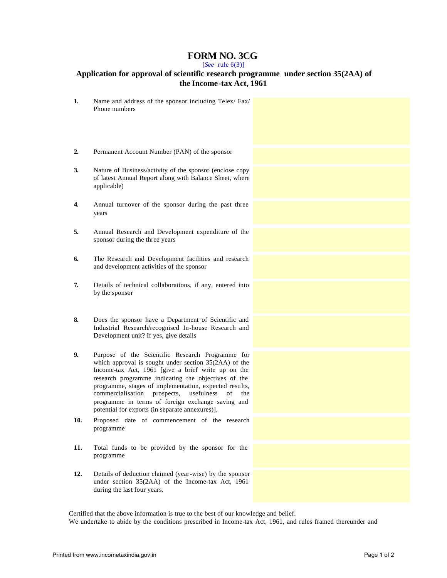## **FORM NO. 3CG**

[*See* rule 6(3)]

## **Application for approval of scientific research programme under section 35(2AA) of the Income-tax Act, 1961**

- **1.** Name and address of the sponsor including Telex/ Fax/ Phone numbers
- **2.** Permanent Account Number (PAN) of the sponsor
- **3.** Nature of Business/activity of the sponsor (enclose copy of latest Annual Report along with Balance Sheet, where applicable)
- **4.** Annual turnover of the sponsor during the past three years
- **5.** Annual Research and Development expenditure of the sponsor during the three years
- **6.** The Research and Development facilities and research and development activities of the sponsor
- **7.** Details of technical collaborations, if any, entered into by the sponsor
- **8.** Does the sponsor have a Department of Scientific and Industrial Research/recognised In-house Research and Development unit? If yes, give details
- **9.** Purpose of the Scientific Research Programme for which approval is sought under section 35(2AA) of the Income-tax Act, 1961 [give a brief write up on the research programme indicating the objectives of the programme, stages of implementation, expected results, commercialisation prospects, usefulness of the programme in terms of foreign exchange saving and potential for exports (in separate annexures)].
- **10.** Proposed date of commencement of the research programme
- **11.** Total funds to be provided by the sponsor for the programme
- **12.** Details of deduction claimed (year-wise) by the sponsor under section 35(2AA) of the Income-tax Act, 1961 during the last four years.

Certified that the above information is true to the best of our knowledge and belief. We undertake to abide by the conditions prescribed in Income-tax Act, 1961, and rules framed thereunder and